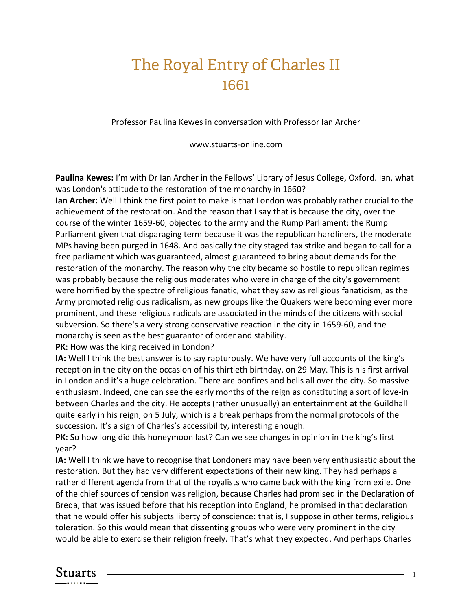## The Royal Entry of Charles II 1661

Professor Paulina Kewes in conversation with Professor Ian Archer

www.stuarts-online.com

**Paulina Kewes:** I'm with Dr Ian Archer in the Fellows' Library of Jesus College, Oxford. Ian, what was London's attitude to the restoration of the monarchy in 1660?

**Ian Archer:** Well I think the first point to make is that London was probably rather crucial to the achievement of the restoration. And the reason that I say that is because the city, over the course of the winter 1659-60, objected to the army and the Rump Parliament: the Rump Parliament given that disparaging term because it was the republican hardliners, the moderate MPs having been purged in 1648. And basically the city staged tax strike and began to call for a free parliament which was guaranteed, almost guaranteed to bring about demands for the restoration of the monarchy. The reason why the city became so hostile to republican regimes was probably because the religious moderates who were in charge of the city's government were horrified by the spectre of religious fanatic, what they saw as religious fanaticism, as the Army promoted religious radicalism, as new groups like the Quakers were becoming ever more prominent, and these religious radicals are associated in the minds of the citizens with social subversion. So there's a very strong conservative reaction in the city in 1659-60, and the monarchy is seen as the best guarantor of order and stability.

**PK:** How was the king received in London?

**IA:** Well I think the best answer is to say rapturously. We have very full accounts of the king's reception in the city on the occasion of his thirtieth birthday, on 29 May. This is his first arrival in London and it's a huge celebration. There are bonfires and bells all over the city. So massive enthusiasm. Indeed, one can see the early months of the reign as constituting a sort of love-in between Charles and the city. He accepts (rather unusually) an entertainment at the Guildhall quite early in his reign, on 5 July, which is a break perhaps from the normal protocols of the succession. It's a sign of Charles's accessibility, interesting enough.

**PK:** So how long did this honeymoon last? Can we see changes in opinion in the king's first year?

**IA:** Well I think we have to recognise that Londoners may have been very enthusiastic about the restoration. But they had very different expectations of their new king. They had perhaps a rather different agenda from that of the royalists who came back with the king from exile. One of the chief sources of tension was religion, because Charles had promised in the Declaration of Breda, that was issued before that his reception into England, he promised in that declaration that he would offer his subjects liberty of conscience: that is, I suppose in other terms, religious toleration. So this would mean that dissenting groups who were very prominent in the city would be able to exercise their religion freely. That's what they expected. And perhaps Charles

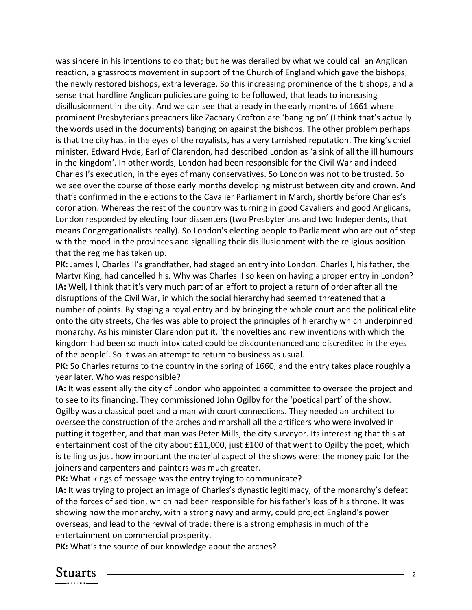was sincere in his intentions to do that; but he was derailed by what we could call an Anglican reaction, a grassroots movement in support of the Church of England which gave the bishops, the newly restored bishops, extra leverage. So this increasing prominence of the bishops, and a sense that hardline Anglican policies are going to be followed, that leads to increasing disillusionment in the city. And we can see that already in the early months of 1661 where prominent Presbyterians preachers like Zachary Crofton are 'banging on' (I think that's actually the words used in the documents) banging on against the bishops. The other problem perhaps is that the city has, in the eyes of the royalists, has a very tarnished reputation. The king's chief minister, Edward Hyde, Earl of Clarendon, had described London as 'a sink of all the ill humours in the kingdom'. In other words, London had been responsible for the Civil War and indeed Charles I's execution, in the eyes of many conservatives. So London was not to be trusted. So we see over the course of those early months developing mistrust between city and crown. And that's confirmed in the elections to the Cavalier Parliament in March, shortly before Charles's coronation. Whereas the rest of the country was turning in good Cavaliers and good Anglicans, London responded by electing four dissenters (two Presbyterians and two Independents, that means Congregationalists really). So London's electing people to Parliament who are out of step with the mood in the provinces and signalling their disillusionment with the religious position that the regime has taken up.

**PK:** James I, Charles II's grandfather, had staged an entry into London. Charles I, his father, the Martyr King, had cancelled his. Why was Charles II so keen on having a proper entry in London? **IA:** Well, I think that it's very much part of an effort to project a return of order after all the disruptions of the Civil War, in which the social hierarchy had seemed threatened that a number of points. By staging a royal entry and by bringing the whole court and the political elite onto the city streets, Charles was able to project the principles of hierarchy which underpinned monarchy. As his minister Clarendon put it, 'the novelties and new inventions with which the kingdom had been so much intoxicated could be discountenanced and discredited in the eyes of the people'. So it was an attempt to return to business as usual.

**PK:** So Charles returns to the country in the spring of 1660, and the entry takes place roughly a year later. Who was responsible?

**IA:** It was essentially the city of London who appointed a committee to oversee the project and to see to its financing. They commissioned John Ogilby for the 'poetical part' of the show. Ogilby was a classical poet and a man with court connections. They needed an architect to oversee the construction of the arches and marshall all the artificers who were involved in putting it together, and that man was Peter Mills, the city surveyor. Its interesting that this at entertainment cost of the city about £11,000, just £100 of that went to Ogilby the poet, which is telling us just how important the material aspect of the shows were: the money paid for the joiners and carpenters and painters was much greater.

**PK:** What kings of message was the entry trying to communicate?

**IA:** It was trying to project an image of Charles's dynastic legitimacy, of the monarchy's defeat of the forces of sedition, which had been responsible for his father's loss of his throne. It was showing how the monarchy, with a strong navy and army, could project England's power overseas, and lead to the revival of trade: there is a strong emphasis in much of the entertainment on commercial prosperity.

**PK:** What's the source of our knowledge about the arches?

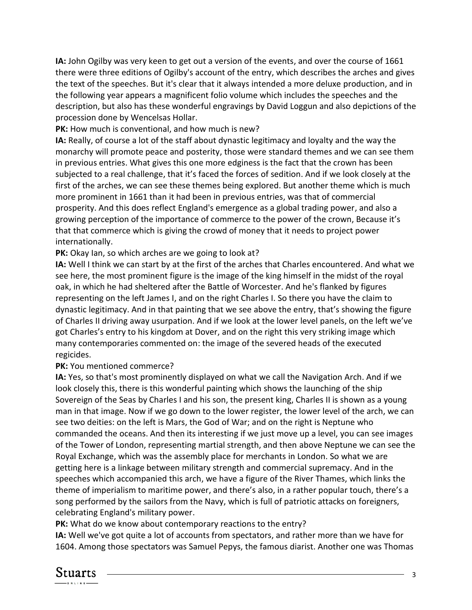**IA:** John Ogilby was very keen to get out a version of the events, and over the course of 1661 there were three editions of Ogilby's account of the entry, which describes the arches and gives the text of the speeches. But it's clear that it always intended a more deluxe production, and in the following year appears a magnificent folio volume which includes the speeches and the description, but also has these wonderful engravings by David Loggun and also depictions of the procession done by Wencelsas Hollar.

**PK:** How much is conventional, and how much is new?

**IA:** Really, of course a lot of the staff about dynastic legitimacy and loyalty and the way the monarchy will promote peace and posterity, those were standard themes and we can see them in previous entries. What gives this one more edginess is the fact that the crown has been subjected to a real challenge, that it's faced the forces of sedition. And if we look closely at the first of the arches, we can see these themes being explored. But another theme which is much more prominent in 1661 than it had been in previous entries, was that of commercial prosperity. And this does reflect England's emergence as a global trading power, and also a growing perception of the importance of commerce to the power of the crown, Because it's that that commerce which is giving the crowd of money that it needs to project power internationally.

**PK:** Okay Ian, so which arches are we going to look at?

**IA:** Well I think we can start by at the first of the arches that Charles encountered. And what we see here, the most prominent figure is the image of the king himself in the midst of the royal oak, in which he had sheltered after the Battle of Worcester. And he's flanked by figures representing on the left James I, and on the right Charles I. So there you have the claim to dynastic legitimacy. And in that painting that we see above the entry, that's showing the figure of Charles II driving away usurpation. And if we look at the lower level panels, on the left we've got Charles's entry to his kingdom at Dover, and on the right this very striking image which many contemporaries commented on: the image of the severed heads of the executed regicides.

## **PK:** You mentioned commerce?

**IA:** Yes, so that's most prominently displayed on what we call the Navigation Arch. And if we look closely this, there is this wonderful painting which shows the launching of the ship Sovereign of the Seas by Charles I and his son, the present king, Charles II is shown as a young man in that image. Now if we go down to the lower register, the lower level of the arch, we can see two deities: on the left is Mars, the God of War; and on the right is Neptune who commanded the oceans. And then its interesting if we just move up a level, you can see images of the Tower of London, representing martial strength, and then above Neptune we can see the Royal Exchange, which was the assembly place for merchants in London. So what we are getting here is a linkage between military strength and commercial supremacy. And in the speeches which accompanied this arch, we have a figure of the River Thames, which links the theme of imperialism to maritime power, and there's also, in a rather popular touch, there's a song performed by the sailors from the Navy, which is full of patriotic attacks on foreigners, celebrating England's military power.

**PK:** What do we know about contemporary reactions to the entry?

**IA:** Well we've got quite a lot of accounts from spectators, and rather more than we have for 1604. Among those spectators was Samuel Pepys, the famous diarist. Another one was Thomas